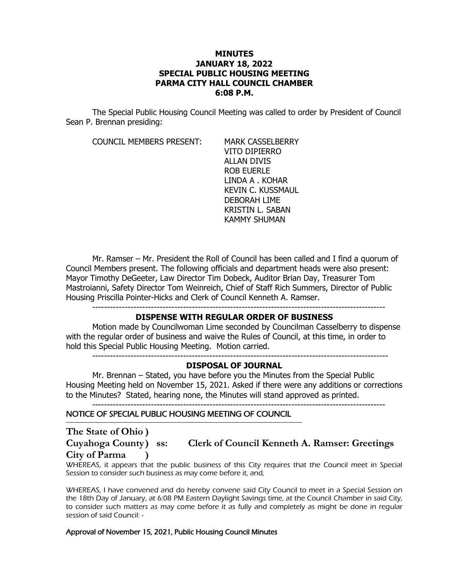### **MINUTES JANUARY 18, 2022 SPECIAL PUBLIC HOUSING MEETING PARMA CITY HALL COUNCIL CHAMBER 6:08 P.M.**

The Special Public Housing Council Meeting was called to order by President of Council Sean P. Brennan presiding:

COUNCIL MEMBERS PRESENT: MARK CASSELBERRY

VITO DIPIERRO ALLAN DIVIS ROB EUERLE LINDA A . KOHAR KEVIN C. KUSSMAUL DEBORAH LIME KRISTIN L. SABAN KAMMY SHUMAN

Mr. Ramser – Mr. President the Roll of Council has been called and I find a quorum of Council Members present. The following officials and department heads were also present: Mayor Timothy DeGeeter, Law Director Tim Dobeck, Auditor Brian Day, Treasurer Tom Mastroianni, Safety Director Tom Weinreich, Chief of Staff Rich Summers, Director of Public Housing Priscilla Pointer-Hicks and Clerk of Council Kenneth A. Ramser.

### **DISPENSE WITH REGULAR ORDER OF BUSINESS**

Motion made by Councilwoman Lime seconded by Councilman Casselberry to dispense with the regular order of business and waive the Rules of Council, at this time, in order to hold this Special Public Housing Meeting. Motion carried.

-----------------------------------------------------------------------------------------------------

### **DISPOSAL OF JOURNAL**

Mr. Brennan – Stated, you have before you the Minutes from the Special Public Housing Meeting held on November 15, 2021. Asked if there were any additions or corrections to the Minutes? Stated, hearing none, the Minutes will stand approved as printed. ----------------------------------------------------------------------------------------------------

# NOTICE OF SPECIAL PUBLIC HOUSING MEETING OF COUNCIL

------------------------------------------------------------------------------------------------------------------------------------------------

**The State of Ohio ) City of Parma )**

# **Cuyahoga County) ss: Clerk of Council Kenneth A. Ramser: Greetings**

WHEREAS, it appears that the public business of this City requires that the Council meet in Special Session to consider such business as may come before it, and,

WHEREAS, I have convened and do hereby convene said City Council to meet in a Special Session on the 18th Day of January, at 6:08 PM Eastern Daylight Savings time, at the Council Chamber in said City, to consider such matters as may come before it as fully and completely as might be done in regular session of said Council: -

### Approval of November 15, 2021, Public Housing Council Minutes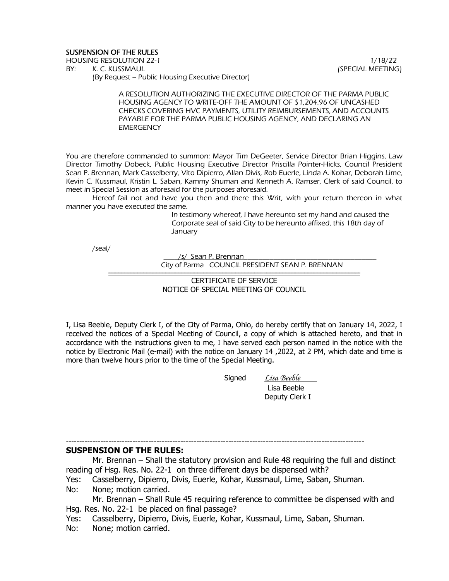### SUSPENSION OF THE RULES

HOUSING RESOLUTION 22-1 **1/18/22** 

BY: K. C. KUSSMAUL (SPECIAL MEETING) (By Request – Public Housing Executive Director)

A RESOLUTION AUTHORIZING THE EXECUTIVE DIRECTOR OF THE PARMA PUBLIC HOUSING AGENCY TO WRITE-OFF THE AMOUNT OF \$1,204.96 OF UNCASHED CHECKS COVERING HVC PAYMENTS, UTILITY REIMBURSEMENTS, AND ACCOUNTS PAYABLE FOR THE PARMA PUBLIC HOUSING AGENCY, AND DECLARING AN **EMERGENCY** 

You are therefore commanded to summon: Mayor Tim DeGeeter, Service Director Brian Higgins, Law Director Timothy Dobeck, Public Housing Executive Director Priscilla Pointer-Hicks, Council President Sean P. Brennan, Mark Casselberry, Vito Dipierro, Allan Divis, Rob Euerle, Linda A. Kohar, Deborah Lime, Kevin C. Kussmaul, Kristin L. Saban, Kammy Shuman and Kenneth A. Ramser, Clerk of said Council, to meet in Special Session as aforesaid for the purposes aforesaid.

Hereof fail not and have you then and there this Writ, with your return thereon in what manner you have executed the same.

> In testimony whereof, I have hereunto set my hand and caused the Corporate seal of said City to be hereunto affixed, this 18th day of **January**

/seal/

 $/s/$  Sean P. Brennan City of Parma COUNCIL PRESIDENT SEAN P. BRENNAN ----------------------------------------------------------------------------------------------------------------------------------------------------------------------------

> CERTIFICATE OF SERVICE NOTICE OF SPECIAL MEETING OF COUNCIL

I, Lisa Beeble, Deputy Clerk I, of the City of Parma, Ohio, do hereby certify that on January 14, 2022, I received the notices of a Special Meeting of Council, a copy of which is attached hereto, and that in accordance with the instructions given to me, I have served each person named in the notice with the notice by Electronic Mail (e-mail) with the notice on January 14 ,2022, at 2 PM, which date and time is more than twelve hours prior to the time of the Special Meeting.

Signed *Lisa Beeble* 

 Lisa Beeble Deputy Clerk I

---------------------------------------------------------------------------------------------------------------- **SUSPENSION OF THE RULES:**

Mr. Brennan – Shall the statutory provision and Rule 48 requiring the full and distinct reading of Hsg. Res. No. 22-1 on three different days be dispensed with?

Yes: Casselberry, Dipierro, Divis, Euerle, Kohar, Kussmaul, Lime, Saban, Shuman.

No: None; motion carried.

Mr. Brennan – Shall Rule 45 requiring reference to committee be dispensed with and Hsg. Res. No. 22-1 be placed on final passage?

- Yes: Casselberry, Dipierro, Divis, Euerle, Kohar, Kussmaul, Lime, Saban, Shuman.
- No: None; motion carried.